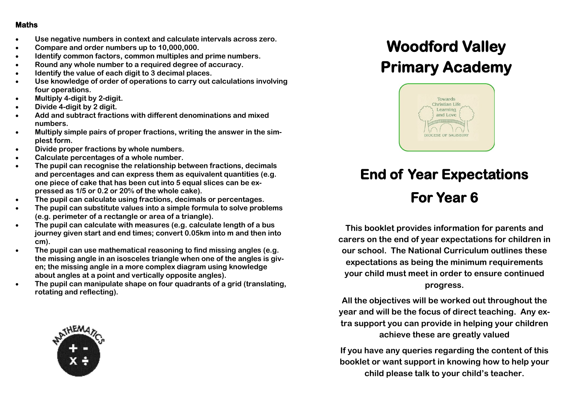#### **Maths**

- **Use negative numbers in context and calculate intervals across zero.**
- **Compare and order numbers up to 10,000,000.**
- **Identify common factors, common multiples and prime numbers.**
- **Round any whole number to a required degree of accuracy.**
- **Identify the value of each digit to 3 decimal places.**
- **Use knowledge of order of operations to carry out calculations involving four operations.**
- **Multiply 4-digit by 2-digit.**
- **Divide 4-digit by 2 digit.**
- **Add and subtract fractions with different denominations and mixed numbers.**
- **Multiply simple pairs of proper fractions, writing the answer in the simplest form.**
- **Divide proper fractions by whole numbers.**
- **Calculate percentages of a whole number.**
- **The pupil can recognise the relationship between fractions, decimals and percentages and can express them as equivalent quantities (e.g. one piece of cake that has been cut into 5 equal slices can be expressed as 1/5 or 0.2 or 20% of the whole cake).**
- **The pupil can calculate using fractions, decimals or percentages.**
- **The pupil can substitute values into a simple formula to solve problems (e.g. perimeter of a rectangle or area of a triangle).**
- **The pupil can calculate with measures (e.g. calculate length of a bus journey given start and end times; convert 0.05km into m and then into cm).**
- **The pupil can use mathematical reasoning to find missing angles (e.g. the missing angle in an isosceles triangle when one of the angles is given; the missing angle in a more complex diagram using knowledge about angles at a point and vertically opposite angles).**
- **The pupil can manipulate shape on four quadrants of a grid (translating, rotating and reflecting).**

# **Woodford Valley Woodford Valley Primary Academy Primary Academy**



## **End of Year Expectations For Year 6**

**This booklet provides information for parents and carers on the end of year expectations for children in our school. The National Curriculum outlines these expectations as being the minimum requirements your child must meet in order to ensure continued progress.** 

**All the objectives will be worked out throughout the year and will be the focus of direct teaching. Any extra support you can provide in helping your children achieve these are greatly valued**

**If you have any queries regarding the content of this booklet or want support in knowing how to help your child please talk to your child's teacher.**